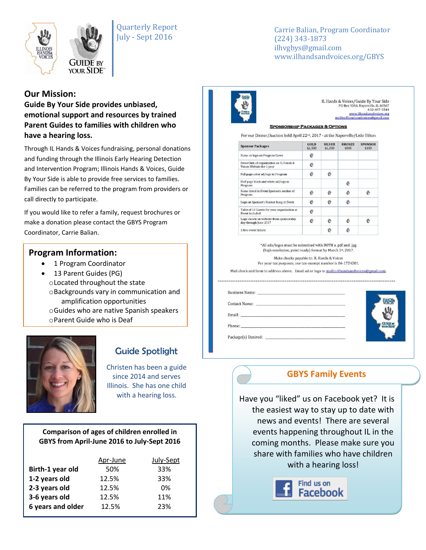



Carrie Balian, Program Coordinator (224) 343-1873 ilhvgbys@gmail.com www.ilhandsandvoices.org/GBYS

### **Our Mission:**

**Guide By Your Side provides unbiased, emotional support and resources by trained Parent Guides to families with children who have a hearing loss.** 

Through IL Hands & Voices fundraising, personal donations and funding through the Illinois Early Hearing Detection and Intervention Program; Illinois Hands & Voices, Guide By Your Side is able to provide free services to families. Families can be referred to the program from providers or call directly to participate.

If you would like to refer a family, request brochures or make a donation please contact the GBYS Program Coordinator, Carrie Balian.

### **Program Information:**

- 1 Program Coordinator
- 13 Parent Guides (PG) oLocated throughout the state oBackgrounds vary in communication and amplification opportunities oGuides who are native Spanish speakers
	- oParent Guide who is Deaf



# Guide Spotlight

Christen has been a guide since 2014 and serves Illinois. She has one child

### **Comparison of ages of children enrolled in GBYS from April-June 2016 to July-Sept 2016**

| Apr-June | July-Sept |
|----------|-----------|
| 50%      | 33%       |
| 12.5%    | 33%       |
| 12.5%    | 0%        |
| 12.5%    | 11%       |
| 12.5%    | 23%       |
|          |           |



IL Hands & Voices/Guide By Your Side PO Box 9366, Naperville, IL 60567<br>630-697-3544<br>www.ilhandsandvoices.org mailto:ilhandsandvoices@gmail.com

#### **SPONSORSHIP PACKAGES & OPTIONS**

For our Dinner/Auction held April 22<sup>nd</sup>, 2017 - at the Naperville/Lisle Hilton

| <b>Sponsor Packages</b>                                                | GOLD<br>\$2,500 | <b>SILVER</b><br>\$1,000 | <b>BRONZE</b><br>\$500 | <b>SPONSOR</b><br>\$100 |
|------------------------------------------------------------------------|-----------------|--------------------------|------------------------|-------------------------|
| Name or logo on Program Cover                                          | 鬯               |                          |                        |                         |
| Direct link of organization on IL Hands &<br>Voices Website for 1 year | 鬯               |                          |                        |                         |
| Full page color ad/logo in Program                                     | 份               | 业                        |                        |                         |
| Half page black and white ad/logo in<br>Program                        |                 |                          | 斟                      |                         |
| Name listed in Event Sponsors section of<br>Program                    | 凼               | 凼                        | 凼                      |                         |
| Logo on Sponsor's Banner hung at Event                                 | 鬯               | 凼                        | 鬯                      |                         |
| Table of 10 Guests for your organization at<br><b>Event included</b>   | 品               |                          |                        |                         |
| Logo shown on website from sponsorship<br>day through June 2017        | 鬯               | 鼎                        | 斟                      | 炒                       |
| 2 free event tickets                                                   |                 |                          | 鹍                      |                         |

\*All ads/logos must be submitted with BOTH a .pdf and .jpg (high resolution, print ready) format by March 1st, 2017.

Make checks payable to: IL Hands & Voices For your tax purposes, our tax-exempt number is 06-1724201.

Mail check and form to address above. Email ad or logo to mailto:ilhandsandvoices@gmail.com.

| Business Name: 2008. [1]                                         |  |  |
|------------------------------------------------------------------|--|--|
| Contact Name: 2008. [1] Daniel Management of Management of Table |  |  |
|                                                                  |  |  |
| Phone:                                                           |  |  |
| Package(s) Desired:                                              |  |  |



### **GBYS Family Events**

with a hearing loss.  $\parallel$  Have you "liked" us on Facebook yet? It is the easiest way to stay up to date with news and events! There are several events happening throughout IL in the coming months. Please make sure you share with families who have children with a hearing loss!